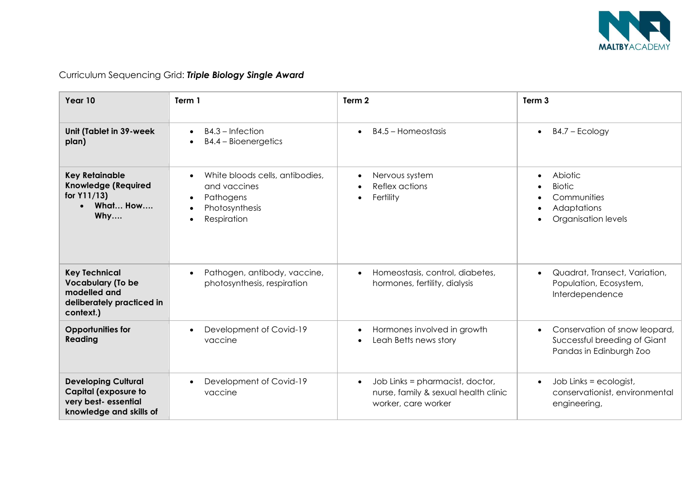

| Year 10                                                                                                      | Term 1                                                                                        | Term 2                                                                                                      | Term <sub>3</sub>                                                                        |
|--------------------------------------------------------------------------------------------------------------|-----------------------------------------------------------------------------------------------|-------------------------------------------------------------------------------------------------------------|------------------------------------------------------------------------------------------|
| Unit (Tablet in 39-week<br>plan)                                                                             | $B4.3$ – Infection<br>B4.4 - Bioenergetics                                                    | B4.5 - Homeostasis                                                                                          | $B4.7 - Ecology$<br>$\bullet$                                                            |
| <b>Key Retainable</b><br><b>Knowledge (Required</b><br>for $Y11/13$ )<br>What How<br>Why                     | White bloods cells, antibodies,<br>and vaccines<br>Pathogens<br>Photosynthesis<br>Respiration | Nervous system<br>Reflex actions<br>Fertility                                                               | Abiotic<br><b>Biotic</b><br>Communities<br>Adaptations<br>Organisation levels            |
| <b>Key Technical</b><br><b>Vocabulary (To be</b><br>modelled and<br>deliberately practiced in<br>context.)   | Pathogen, antibody, vaccine,<br>photosynthesis, respiration                                   | Homeostasis, control, diabetes,<br>hormones, fertility, dialysis                                            | Quadrat, Transect, Variation,<br>Population, Ecosystem,<br>Interdependence               |
| <b>Opportunities for</b><br>Reading                                                                          | Development of Covid-19<br>vaccine                                                            | Hormones involved in growth<br>Leah Betts news story                                                        | Conservation of snow leopard,<br>Successful breeding of Giant<br>Pandas in Edinburgh Zoo |
| <b>Developing Cultural</b><br><b>Capital (exposure to</b><br>very best- essential<br>knowledge and skills of | Development of Covid-19<br>vaccine                                                            | Job Links = pharmacist, doctor,<br>$\bullet$<br>nurse, family & sexual health clinic<br>worker, care worker | Job Links = ecologist,<br>$\bullet$<br>conservationist, environmental<br>engineering,    |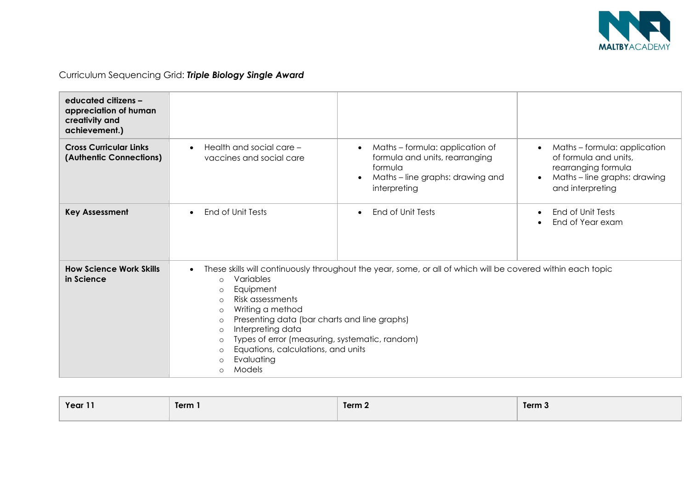

| educated citizens -<br>appreciation of human<br>creativity and<br>achievement.) |                                                                                                                                                                                                                                                                                                                                                                                                                                                                                                    |                                                                                                                                                            |                                                                                                                                                          |
|---------------------------------------------------------------------------------|----------------------------------------------------------------------------------------------------------------------------------------------------------------------------------------------------------------------------------------------------------------------------------------------------------------------------------------------------------------------------------------------------------------------------------------------------------------------------------------------------|------------------------------------------------------------------------------------------------------------------------------------------------------------|----------------------------------------------------------------------------------------------------------------------------------------------------------|
| <b>Cross Curricular Links</b><br>(Authentic Connections)                        | Health and social care -<br>vaccines and social care                                                                                                                                                                                                                                                                                                                                                                                                                                               | Maths - formula: application of<br>$\bullet$<br>formula and units, rearranging<br>formula<br>Maths - line graphs: drawing and<br>$\bullet$<br>interpreting | Maths-formula: application<br>$\bullet$<br>of formula and units,<br>rearranging formula<br>Maths - line graphs: drawing<br>$\bullet$<br>and interpreting |
| <b>Key Assessment</b>                                                           | End of Unit Tests                                                                                                                                                                                                                                                                                                                                                                                                                                                                                  | End of Unit Tests<br>$\bullet$                                                                                                                             | End of Unit Tests<br>End of Year exam                                                                                                                    |
| <b>How Science Work Skills</b><br>in Science                                    | These skills will continuously throughout the year, some, or all of which will be covered within each topic<br>$\bullet$<br>Variables<br>$\Omega$<br>Equipment<br>$\circ$<br>Risk assessments<br>$\Omega$<br>Writing a method<br>$\circ$<br>Presenting data (bar charts and line graphs)<br>$\circ$<br>Interpreting data<br>$\circ$<br>Types of error (measuring, systematic, random)<br>$\circ$<br>Equations, calculations, and units<br>$\circ$<br>Evaluating<br>$\circ$<br>Models<br>$\bigcirc$ |                                                                                                                                                            |                                                                                                                                                          |

| Year 11 | Term 1 | Term 2 | Term 3 |
|---------|--------|--------|--------|
|         |        |        |        |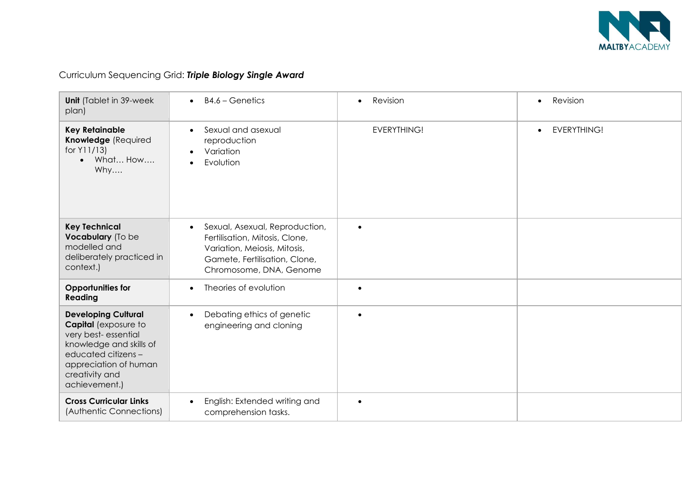

| <b>Unit</b> (Tablet in 39-week<br>plan)                                                                                                                                                       | $B4.6 - Genetics$                                                                                                                                            | Revision           | Revision<br>$\bullet$           |
|-----------------------------------------------------------------------------------------------------------------------------------------------------------------------------------------------|--------------------------------------------------------------------------------------------------------------------------------------------------------------|--------------------|---------------------------------|
| <b>Key Retainable</b><br>Knowledge (Required<br>for $Y11/13$<br>What How<br>$\bullet$<br>Why                                                                                                  | Sexual and asexual<br>reproduction<br>Variation<br>Evolution                                                                                                 | <b>EVERYTHING!</b> | <b>EVERYTHING!</b><br>$\bullet$ |
| <b>Key Technical</b><br>Vocabulary (To be<br>modelled and<br>deliberately practiced in<br>context.)                                                                                           | Sexual, Asexual, Reproduction,<br>Fertilisation, Mitosis, Clone,<br>Variation, Meiosis, Mitosis,<br>Gamete, Fertilisation, Clone,<br>Chromosome, DNA, Genome | $\bullet$          |                                 |
| <b>Opportunities for</b><br><b>Reading</b>                                                                                                                                                    | Theories of evolution                                                                                                                                        | $\bullet$          |                                 |
| <b>Developing Cultural</b><br><b>Capital</b> (exposure to<br>very best-essential<br>knowledge and skills of<br>educated citizens-<br>appreciation of human<br>creativity and<br>achievement.) | Debating ethics of genetic<br>$\bullet$<br>engineering and cloning                                                                                           | $\bullet$          |                                 |
| <b>Cross Curricular Links</b><br>(Authentic Connections)                                                                                                                                      | English: Extended writing and<br>comprehension tasks.                                                                                                        | $\bullet$          |                                 |